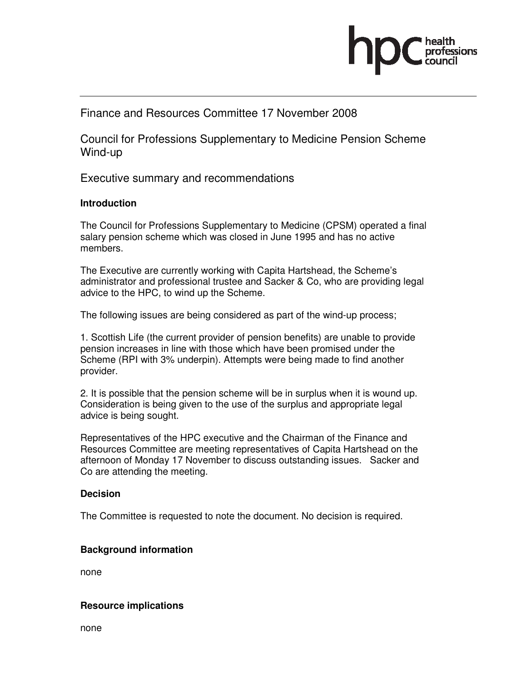

## Finance and Resources Committee 17 November 2008

Council for Professions Supplementary to Medicine Pension Scheme Wind-up

Executive summary and recommendations

#### **Introduction**

The Council for Professions Supplementary to Medicine (CPSM) operated a final salary pension scheme which was closed in June 1995 and has no active members.

The Executive are currently working with Capita Hartshead, the Scheme's administrator and professional trustee and Sacker & Co, who are providing legal advice to the HPC, to wind up the Scheme.

The following issues are being considered as part of the wind-up process;

1. Scottish Life (the current provider of pension benefits) are unable to provide pension increases in line with those which have been promised under the Scheme (RPI with 3% underpin). Attempts were being made to find another provider.

2. It is possible that the pension scheme will be in surplus when it is wound up. Consideration is being given to the use of the surplus and appropriate legal advice is being sought.

Representatives of the HPC executive and the Chairman of the Finance and Resources Committee are meeting representatives of Capita Hartshead on the afternoon of Monday 17 November to discuss outstanding issues. Sacker and Co are attending the meeting.

#### **Decision**

The Committee is requested to note the document. No decision is required.

### **Background information**

none

#### **Resource implications**

none